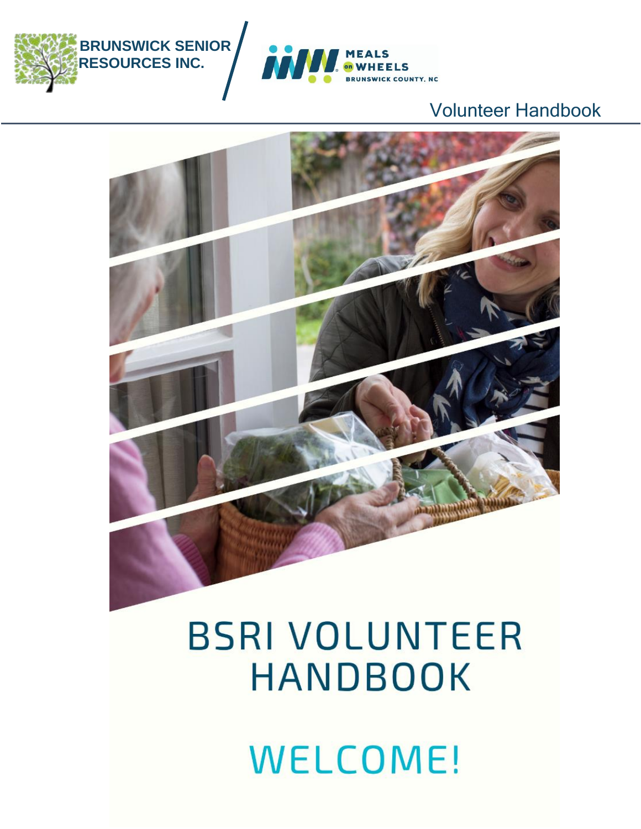





### Í l Ì ۱

ļ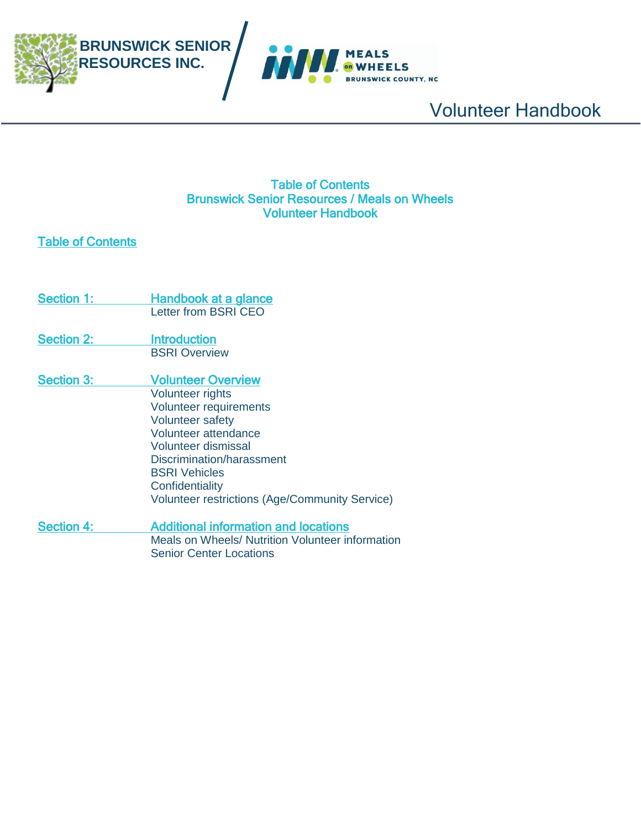



### Table of Contents Brunswick Senior Resources / Meals on Wheels Volunteer Handbook

### Table of Contents

- Section 1: Handbook at a glance Letter from BSRI CEO Section 2: **Introduction** BSRI Overview
- Section 3: Volunteer Overview Volunteer rights Volunteer requirements Volunteer safety Volunteer attendance Volunteer dismissal Discrimination/harassment BSRI Vehicles **Confidentiality** Volunteer restrictions (Age/Community Service)
- Section 4: Additional information and locations Meals on Wheels/ Nutrition Volunteer information Senior Center Locations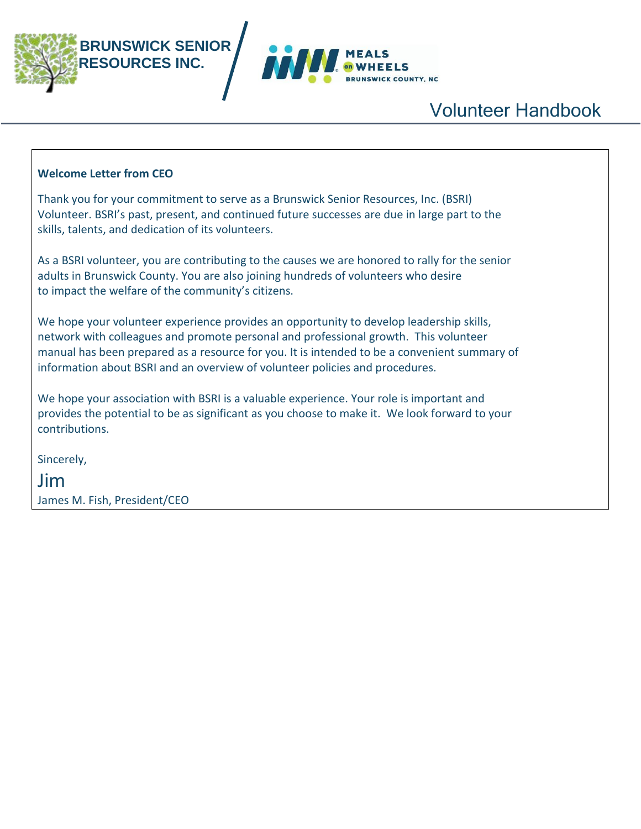



### **Welcome Letter from CEO**

Thank you for your commitment to serve as a Brunswick Senior Resources, Inc. (BSRI) Volunteer. BSRI's past, present, and continued future successes are due in large part to the skills, talents, and dedication of its volunteers.

As a BSRI volunteer, you are contributing to the causes we are honored to rally for the senior adults in Brunswick County. You are also joining hundreds of volunteers who desire to impact the welfare of the community's citizens.

We hope your volunteer experience provides an opportunity to develop leadership skills, network with colleagues and promote personal and professional growth. This volunteer manual has been prepared as a resource for you. It is intended to be a convenient summary of information about BSRI and an overview of volunteer policies and procedures.

We hope your association with BSRI is a valuable experience. Your role is important and provides the potential to be as significant as you choose to make it. We look forward to your contributions.

Sincerely,

Jim James M. Fish, President/CEO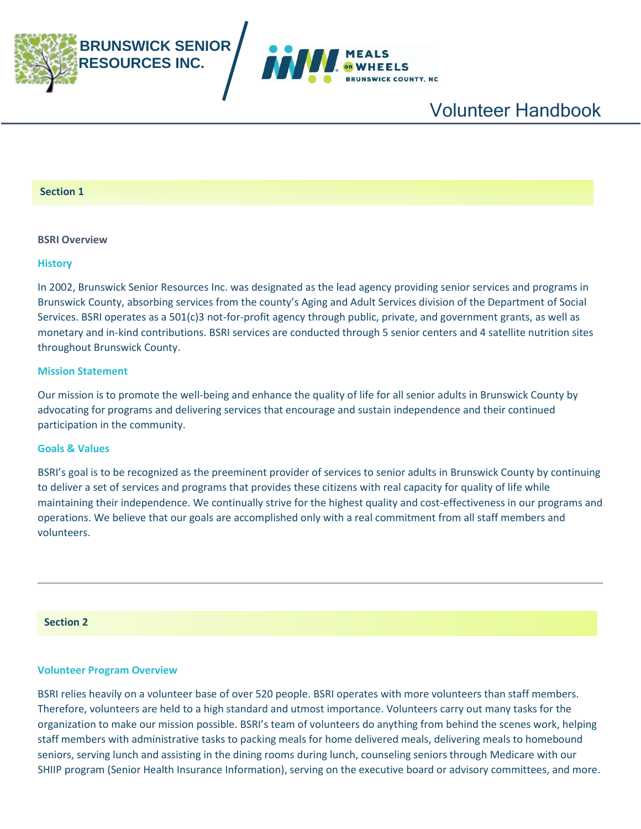



#### **Section 1**

#### **BSRI Overview**

#### **History**

In 2002, Brunswick Senior Resources Inc. was designated as the lead agency providing senior services and programs in Brunswick County, absorbing services from the county's Aging and Adult Services division of the Department of Social Services. BSRI operates as a 501(c)3 not-for-profit agency through public, private, and government grants, as well as monetary and in-kind contributions. BSRI services are conducted through 5 senior centers and 4 satellite nutrition sites throughout Brunswick County.

#### **Mission Statement**

Our mission is to promote the well-being and enhance the quality of life for all senior adults in Brunswick County by advocating for programs and delivering services that encourage and sustain independence and their continued participation in the community.

#### **Goals & Values**

BSRI's goal is to be recognized as the preeminent provider of services to senior adults in Brunswick County by continuing to deliver a set of services and programs that provides these citizens with real capacity for quality of life while maintaining their independence. We continually strive for the highest quality and cost-effectiveness in our programs and operations. We believe that our goals are accomplished only with a real commitment from all staff members and volunteers.

### **Section 2**

#### **Volunteer Program Overview**

BSRI relies heavily on a volunteer base of over 520 people. BSRI operates with more volunteers than staff members. Therefore, volunteers are held to a high standard and utmost importance. Volunteers carry out many tasks for the organization to make our mission possible. BSRI's team of volunteers do anything from behind the scenes work, helping staff members with administrative tasks to packing meals for home delivered meals, delivering meals to homebound seniors, serving lunch and assisting in the dining rooms during lunch, counseling seniors through Medicare with our SHIIP program (Senior Health Insurance Information), serving on the executive board or advisory committees, and more.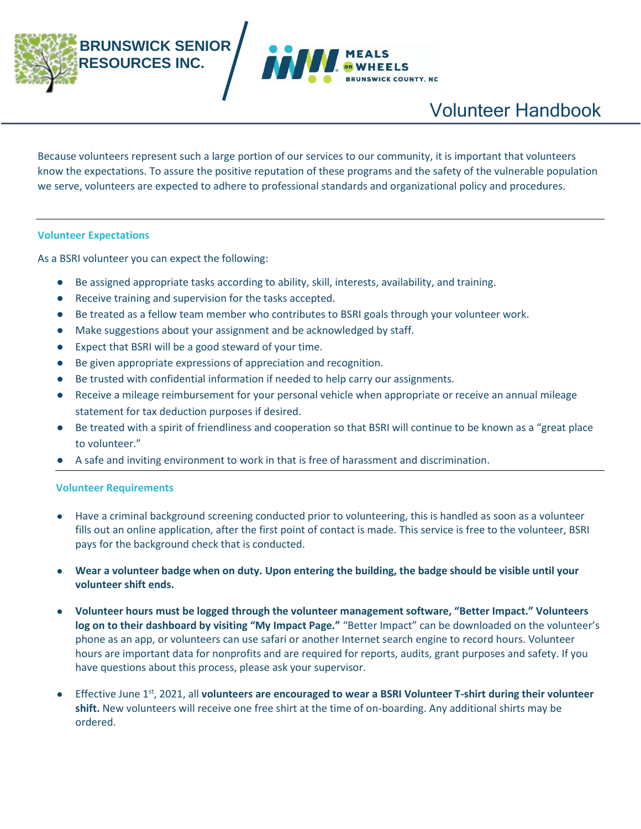

Because volunteers represent such a large portion of our services to our community, it is important that volunteers know the expectations. To assure the positive reputation of these programs and the safety of the vulnerable population we serve, volunteers are expected to adhere to professional standards and organizational policy and procedures.

#### **Volunteer Expectations**

As a BSRI volunteer you can expect the following:

- Be assigned appropriate tasks according to ability, skill, interests, availability, and training.
- Receive training and supervision for the tasks accepted.
- Be treated as a fellow team member who contributes to BSRI goals through your volunteer work.
- Make suggestions about your assignment and be acknowledged by staff.
- Expect that BSRI will be a good steward of your time.
- Be given appropriate expressions of appreciation and recognition.
- Be trusted with confidential information if needed to help carry our assignments.
- Receive a mileage reimbursement for your personal vehicle when appropriate or receive an annual mileage statement for tax deduction purposes if desired.
- Be treated with a spirit of friendliness and cooperation so that BSRI will continue to be known as a "great place to volunteer."
- A safe and inviting environment to work in that is free of harassment and discrimination.

#### **Volunteer Requirements**

- Have a criminal background screening conducted prior to volunteering, this is handled as soon as a volunteer fills out an online application, after the first point of contact is made. This service is free to the volunteer, BSRI pays for the background check that is conducted.
- **Wear a volunteer badge when on duty. Upon entering the building, the badge should be visible until your volunteer shift ends.**
- **Volunteer hours must be logged through the volunteer management software, "Better Impact." Volunteers log on to their dashboard by visiting "My Impact Page."** "Better Impact" can be downloaded on the volunteer's phone as an app, or volunteers can use safari or another Internet search engine to record hours. Volunteer hours are important data for nonprofits and are required for reports, audits, grant purposes and safety. If you have questions about this process, please ask your supervisor.
- Effective June 1st, 2021, all **volunteers are encouraged to wear a BSRI Volunteer T-shirt during their volunteer shift.** New volunteers will receive one free shirt at the time of on-boarding. Any additional shirts may be ordered.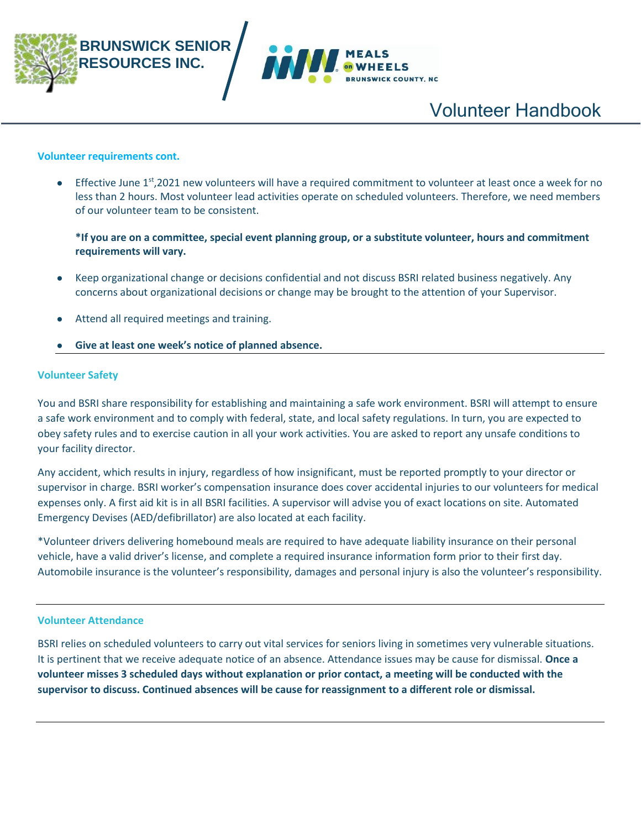

#### **Volunteer requirements cont.**

 $\bullet$  Effective June 1<sup>st</sup>,2021 new volunteers will have a required commitment to volunteer at least once a week for no less than 2 hours. Most volunteer lead activities operate on scheduled volunteers. Therefore, we need members of our volunteer team to be consistent.

**\*If you are on a committee, special event planning group, or a substitute volunteer, hours and commitment requirements will vary.**

- Keep organizational change or decisions confidential and not discuss BSRI related business negatively. Any concerns about organizational decisions or change may be brought to the attention of your Supervisor.
- Attend all required meetings and training.
- Give at least one week's notice of planned absence.

#### **Volunteer Safety**

You and BSRI share responsibility for establishing and maintaining a safe work environment. BSRI will attempt to ensure a safe work environment and to comply with federal, state, and local safety regulations. In turn, you are expected to obey safety rules and to exercise caution in all your work activities. You are asked to report any unsafe conditions to your facility director.

Any accident, which results in injury, regardless of how insignificant, must be reported promptly to your director or supervisor in charge. BSRI worker's compensation insurance does cover accidental injuries to our volunteers for medical expenses only. A first aid kit is in all BSRI facilities. A supervisor will advise you of exact locations on site. Automated Emergency Devises (AED/defibrillator) are also located at each facility.

\*Volunteer drivers delivering homebound meals are required to have adequate liability insurance on their personal vehicle, have a valid driver's license, and complete a required insurance information form prior to their first day. Automobile insurance is the volunteer's responsibility, damages and personal injury is also the volunteer's responsibility.

#### **Volunteer Attendance**

BSRI relies on scheduled volunteers to carry out vital services for seniors living in sometimes very vulnerable situations. It is pertinent that we receive adequate notice of an absence. Attendance issues may be cause for dismissal. **Once a volunteer misses 3 scheduled days without explanation or prior contact, a meeting will be conducted with the supervisor to discuss. Continued absences will be cause for reassignment to a different role or dismissal.**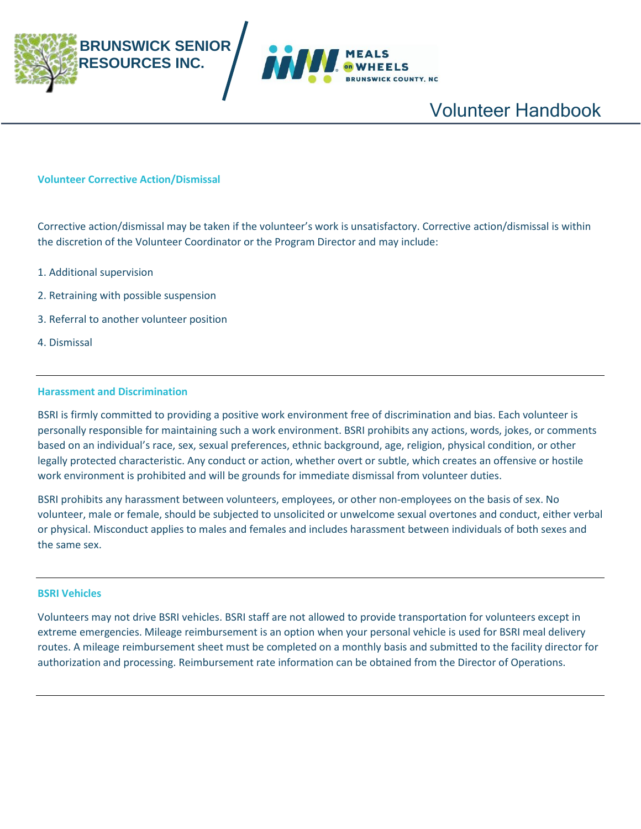



#### **Volunteer Corrective Action/Dismissal**

Corrective action/dismissal may be taken if the volunteer's work is unsatisfactory. Corrective action/dismissal is within the discretion of the Volunteer Coordinator or the Program Director and may include:

- 1. Additional supervision
- 2. Retraining with possible suspension
- 3. Referral to another volunteer position
- 4. Dismissal

#### **Harassment and Discrimination**

BSRI is firmly committed to providing a positive work environment free of discrimination and bias. Each volunteer is personally responsible for maintaining such a work environment. BSRI prohibits any actions, words, jokes, or comments based on an individual's race, sex, sexual preferences, ethnic background, age, religion, physical condition, or other legally protected characteristic. Any conduct or action, whether overt or subtle, which creates an offensive or hostile work environment is prohibited and will be grounds for immediate dismissal from volunteer duties.

BSRI prohibits any harassment between volunteers, employees, or other non-employees on the basis of sex. No volunteer, male or female, should be subjected to unsolicited or unwelcome sexual overtones and conduct, either verbal or physical. Misconduct applies to males and females and includes harassment between individuals of both sexes and the same sex.

#### **BSRI Vehicles**

Volunteers may not drive BSRI vehicles. BSRI staff are not allowed to provide transportation for volunteers except in extreme emergencies. Mileage reimbursement is an option when your personal vehicle is used for BSRI meal delivery routes. A mileage reimbursement sheet must be completed on a monthly basis and submitted to the facility director for authorization and processing. Reimbursement rate information can be obtained from the Director of Operations.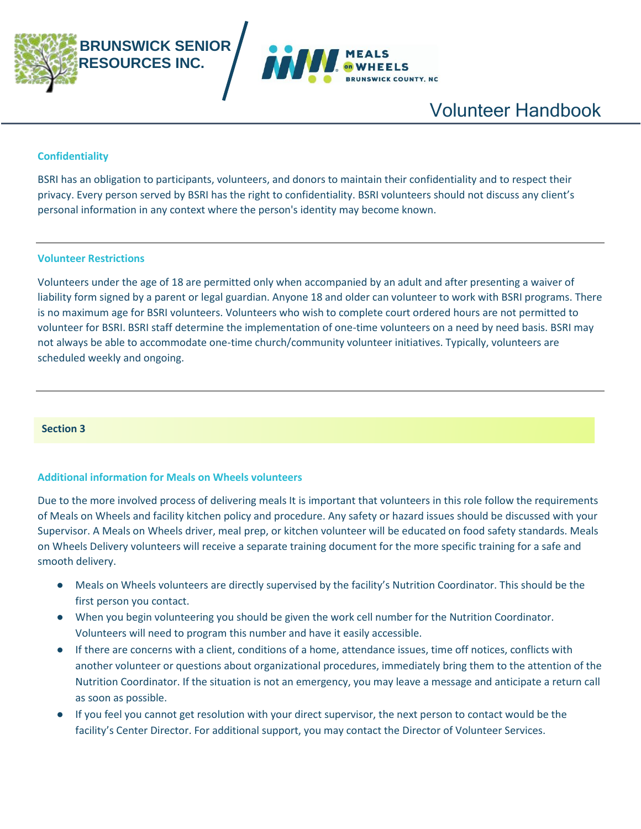



#### **Confidentiality**

BSRI has an obligation to participants, volunteers, and donors to maintain their confidentiality and to respect their privacy. Every person served by BSRI has the right to confidentiality. BSRI volunteers should not discuss any client's personal information in any context where the person's identity may become known.

#### **Volunteer Restrictions**

Volunteers under the age of 18 are permitted only when accompanied by an adult and after presenting a waiver of liability form signed by a parent or legal guardian. Anyone 18 and older can volunteer to work with BSRI programs. There is no maximum age for BSRI volunteers. Volunteers who wish to complete court ordered hours are not permitted to volunteer for BSRI. BSRI staff determine the implementation of one-time volunteers on a need by need basis. BSRI may not always be able to accommodate one-time church/community volunteer initiatives. Typically, volunteers are scheduled weekly and ongoing.

#### **Section 3**

#### **Additional information for Meals on Wheels volunteers**

Due to the more involved process of delivering meals It is important that volunteers in this role follow the requirements of Meals on Wheels and facility kitchen policy and procedure. Any safety or hazard issues should be discussed with your Supervisor. A Meals on Wheels driver, meal prep, or kitchen volunteer will be educated on food safety standards. Meals on Wheels Delivery volunteers will receive a separate training document for the more specific training for a safe and smooth delivery.

- Meals on Wheels volunteers are directly supervised by the facility's Nutrition Coordinator. This should be the first person you contact.
- When you begin volunteering you should be given the work cell number for the Nutrition Coordinator. Volunteers will need to program this number and have it easily accessible.
- If there are concerns with a client, conditions of a home, attendance issues, time off notices, conflicts with another volunteer or questions about organizational procedures, immediately bring them to the attention of the Nutrition Coordinator. If the situation is not an emergency, you may leave a message and anticipate a return call as soon as possible.
- If you feel you cannot get resolution with your direct supervisor, the next person to contact would be the facility's Center Director. For additional support, you may contact the Director of Volunteer Services.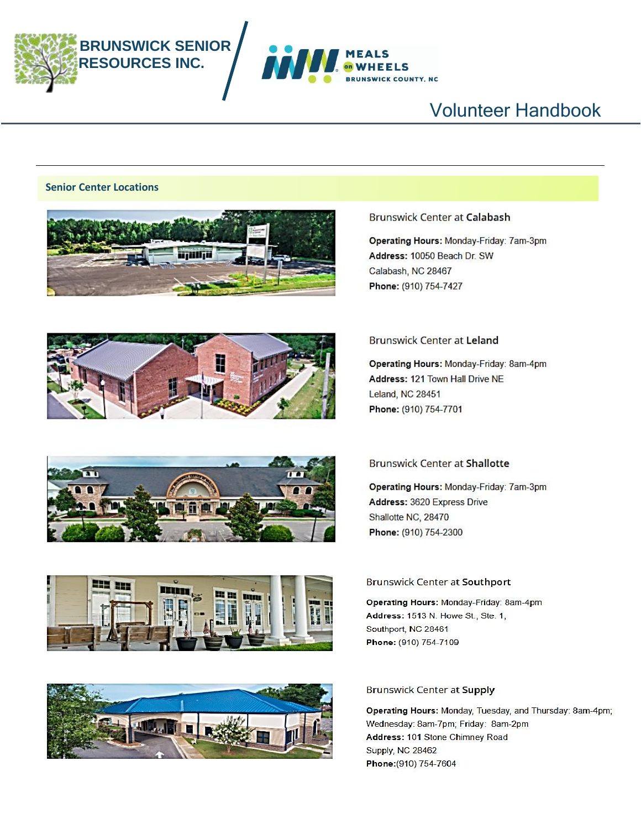



#### **Senior Center Locations**











#### **Brunswick Center at Calabash**

Operating Hours: Monday-Friday: 7am-3pm Address: 10050 Beach Dr. SW Calabash, NC 28467 Phone: (910) 754-7427

#### **Brunswick Center at Leland**

Operating Hours: Monday-Friday: 8am-4pm Address: 121 Town Hall Drive NE Leland, NC 28451 Phone: (910) 754-7701

#### **Brunswick Center at Shallotte**

Operating Hours: Monday-Friday: 7am-3pm Address: 3620 Express Drive Shallotte NC, 28470 Phone: (910) 754-2300

#### **Brunswick Center at Southport**

Operating Hours: Monday-Friday: 8am-4pm Address: 1513 N. Howe St., Ste. 1, Southport, NC 28461 Phone: (910) 754-7109

Operating Hours: Monday, Tuesday, and Thursday: 8am-4pm; Wednesday: 8am-7pm; Friday: 8am-2pm Address: 101 Stone Chimney Road Supply, NC 28462 Phone: (910) 754-7604